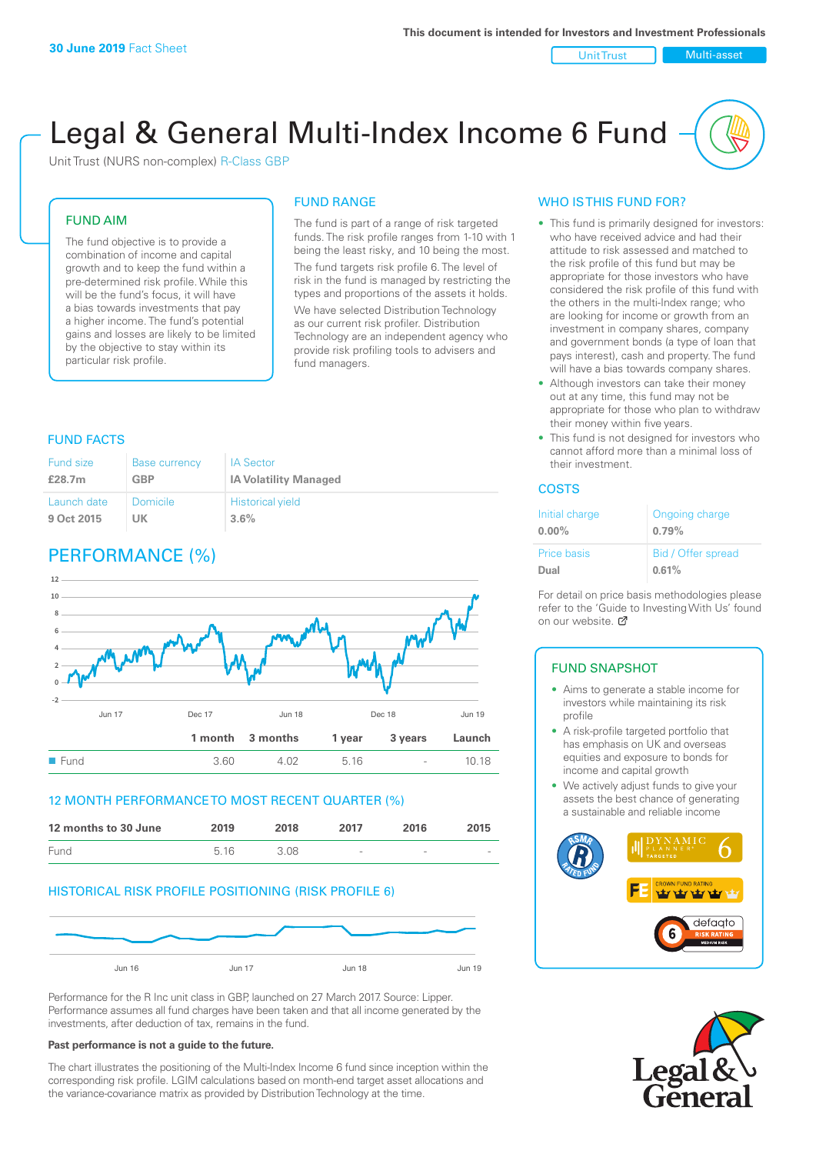#### Unit Trust Multi-asset

# Legal & General Multi-Index Income 6 Fund

Unit Trust (NURS non-complex) R-Class GBP

### FUND AIM

The fund objective is to provide a combination of income and capital growth and to keep the fund within a pre-determined risk profile. While this will be the fund's focus, it will have a bias towards investments that pay a higher income. The fund's potential gains and losses are likely to be limited by the objective to stay within its particular risk profile.

### FUND RANGE

The fund is part of a range of risk targeted funds. The risk profile ranges from 1-10 with 1 being the least risky, and 10 being the most. The fund targets risk profile 6. The level of risk in the fund is managed by restricting the types and proportions of the assets it holds. We have selected Distribution Technology as our current risk profiler. Distribution Technology are an independent agency who provide risk profiling tools to advisers and fund managers.

### FUND FACTS

| Fund size   | <b>Base currency</b> | <b>IA Sector</b>             |
|-------------|----------------------|------------------------------|
| £28.7m      | GBP                  | <b>IA Volatility Managed</b> |
| Launch date | Domicile             | <b>Historical yield</b>      |
| 9 Oct 2015  | UK                   | $3.6\%$                      |

### PERFORMANCE (%)



### 12 MONTH PERFORMANCE TO MOST RECENT QUARTER (%)

| 12 months to 30 June | 2019 | 2018 | 2017                     | 2016   | 2015   |
|----------------------|------|------|--------------------------|--------|--------|
| Fund                 | 5.16 | 3.08 | $\overline{\phantom{a}}$ | $\sim$ | $\sim$ |

### HISTORICAL RISK PROFILE POSITIONING (RISK PROFILE 6)



Performance for the R Inc unit class in GBP, launched on 27 March 2017. Source: Lipper. Performance assumes all fund charges have been taken and that all income generated by the investments, after deduction of tax, remains in the fund.

#### **Past performance is not a guide to the future.**

The chart illustrates the positioning of the Multi-Index Income 6 fund since inception within the corresponding risk profile. LGIM calculations based on month-end target asset allocations and the variance-covariance matrix as provided by Distribution Technology at the time.

### WHO IS THIS FUND FOR?

- This fund is primarily designed for investors: who have received advice and had their attitude to risk assessed and matched to the risk profile of this fund but may be appropriate for those investors who have considered the risk profile of this fund with the others in the multi-Index range; who are looking for income or growth from an investment in company shares, company and government bonds (a type of loan that pays interest), cash and property. The fund will have a bias towards company shares.
- Although investors can take their money out at any time, this fund may not be appropriate for those who plan to withdraw their money within five years.
- This fund is not designed for investors who cannot afford more than a minimal loss of their investment.

### **COSTS**

| Initial charge<br>$0.00\%$ | Ongoing charge<br>0.79% |
|----------------------------|-------------------------|
| <b>Price basis</b>         | Bid / Offer spread      |
| Dual                       | 0.61%                   |

For detail on price basis methodologies please refer to the 'Guide to Investing With Us' found on our website. [7]

### FUND SNAPSHOT

- Aims to generate a stable income for investors while maintaining its risk profile
- A risk-profile targeted portfolio that has emphasis on UK and overseas equities and exposure to bonds for income and capital growth
- We actively adjust funds to give your assets the best chance of generating a sustainable and reliable income



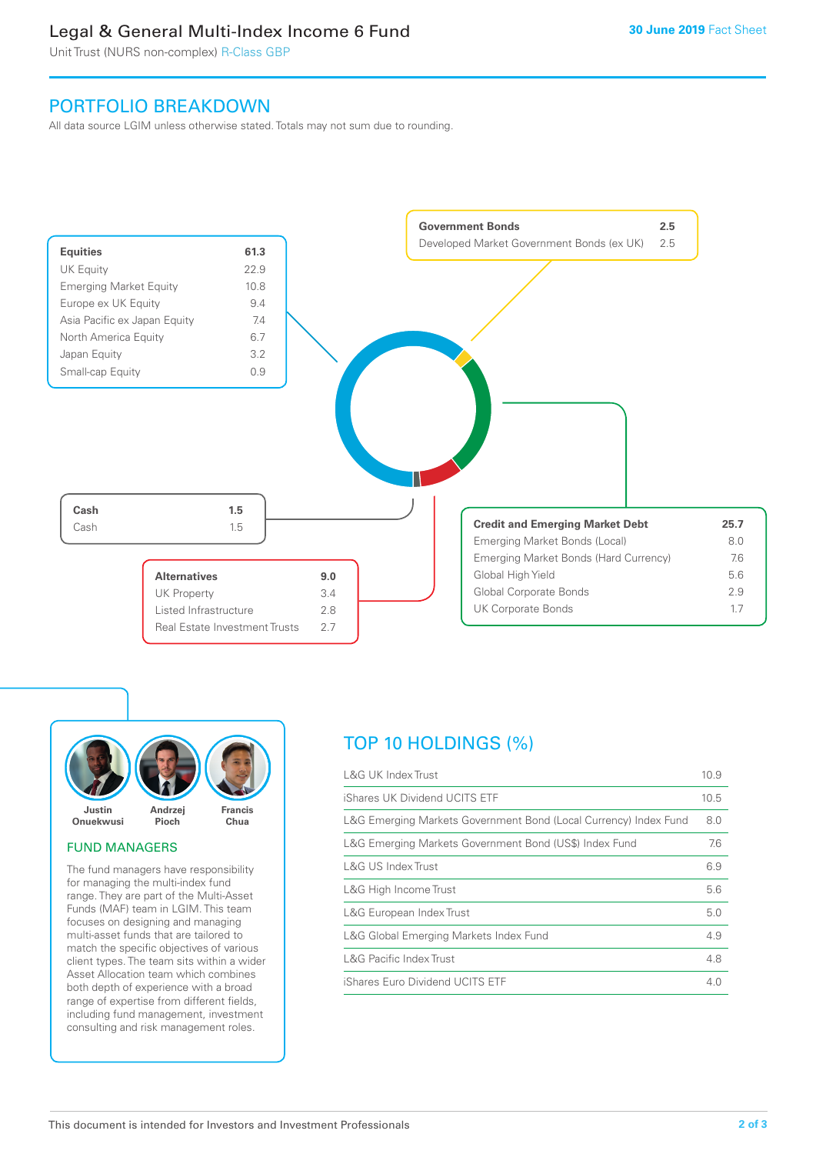### Legal & General Multi-Index Income 6 Fund

Unit Trust (NURS non-complex) R-Class GBP

### PORTFOLIO BREAKDOWN

All data source LGIM unless otherwise stated. Totals may not sum due to rounding.





### FUND MANAGERS

The fund managers have responsibility for managing the multi-index fund range. They are part of the Multi-Asset Funds (MAF) team in LGIM. This team focuses on designing and managing multi-asset funds that are tailored to match the specific objectives of various client types. The team sits within a wider Asset Allocation team which combines both depth of experience with a broad range of expertise from different fields, including fund management, investment consulting and risk management roles.

## TOP 10 HOLDINGS (%)

| <b>L&amp;G UK Index Trust</b>                                    | 10.9 |
|------------------------------------------------------------------|------|
| iShares UK Dividend UCITS ETF                                    | 10.5 |
| L&G Emerging Markets Government Bond (Local Currency) Index Fund | 8.0  |
| L&G Emerging Markets Government Bond (US\$) Index Fund           | 7.6  |
| L&G US Index Trust                                               | 6.9  |
| L&G High Income Trust                                            | 5.6  |
| L&G European Index Trust                                         | 5.0  |
| L&G Global Emerging Markets Index Fund                           | 4.9  |
| <b>L&amp;G Pacific Index Trust</b>                               | 4.8  |
| iShares Euro Dividend UCITS ETF                                  | 4.0  |